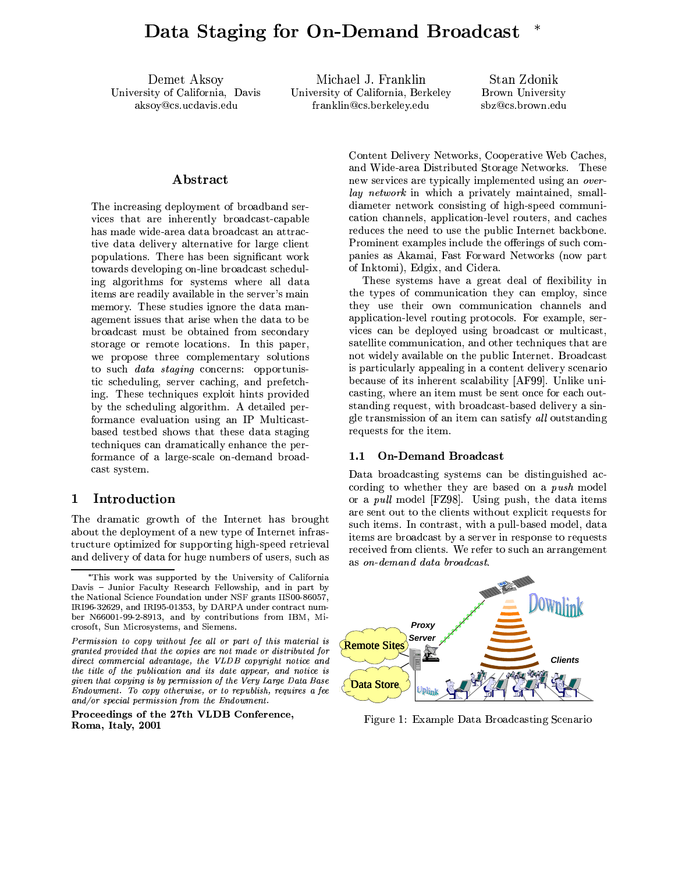Demet Aksoy University of California, Davis aksoy@cs.ucdavis.edu

Michael J. Franklin University of California, Berkeley franklin@cs.berkeley.edu

Stan Zdonik Brown University sbz@cs.brown.edu

# ${\bf Abstract}$

The increasing deployment of broadband services that are inherently broadcast-capable has made wide-area data broadcast an attractive data delivery alternative for large client populations. There has been significant work towards developing on-line broadcast scheduling algorithms for systems where all data items are readily available in the server's main memory. These studies ignore the data management issues that arise when the data to be broadcast must be obtained from secondary storage or remote locations. In this paper, we propose three complementary solutions to such *data staging* concerns: opportunistic scheduling, server caching, and prefetching. These techniques exploit hints provided by the scheduling algorithm. A detailed performance evaluation using an IP Multicastbased testbed shows that these data staging techniques can dramatically enhance the performance of a large-scale on-demand broadcast system.

#### Introduction  $\mathbf{1}$

The dramatic growth of the Internet has brought about the deployment of a new type of Internet infrastructure optimized for supporting high-speed retrieval and delivery of data for huge numbers of users, such as

Proceedings of the 27th VLDB Conference, Roma, Italy, 2001

Content Delivery Networks, Cooperative Web Caches, and Wide-area Distributed Storage Networks. These new services are typically implemented using an overlay network in which a privately maintained, smalldiameter network consisting of high-speed communication channels, application-level routers, and caches reduces the need to use the public Internet backbone. Prominent examples include the offerings of such companies as Akamai, Fast Forward Networks (now part of Inktomi), Edgix, and Cidera.

These systems have a great deal of flexibility in the types of communication they can employ, since they use their own communication channels and application-level routing protocols. For example, services can be deployed using broadcast or multicast, satellite communication, and other techniques that are not widely available on the public Internet. Broadcast is particularly appealing in a content delivery scenario because of its inherent scalability [AF99]. Unlike unicasting, where an item must be sent once for each outstanding request, with broadcast-based delivery a single transmission of an item can satisfy all outstanding requests for the item.

#### **On-Demand Broadcast**  $1.1$

Data broadcasting systems can be distinguished according to whether they are based on a *push* model or a *pull* model [FZ98]. Using push, the data items are sent out to the clients without explicit requests for such items. In contrast, with a pull-based model, data items are broadcast by a server in response to requests received from clients. We refer to such an arrangement as on-demand data broadcast.



Figure 1: Example Data Broadcasting Scenario

<sup>\*</sup>This work was supported by the University of California Davis - Junior Faculty Research Fellowship, and in part by the National Science Foundation under NSF grants IIS00-86057, IRI96-32629, and IRI95-01353, by DARPA under contract number N66001-99-2-8913, and by contributions from IBM, Microsoft, Sun Microsystems, and Siemens.

Permission to copy without fee all or part of this material is granted provided that the copies are not made or distributed for direct commercial advantage, the VLDB copyright notice and the title of the publication and its date appear, and notice is given that copying is by permission of the Very Large Data Base Endowment. To copy otherwise, or to republish, requires a fee and/or special permission from the Endowment.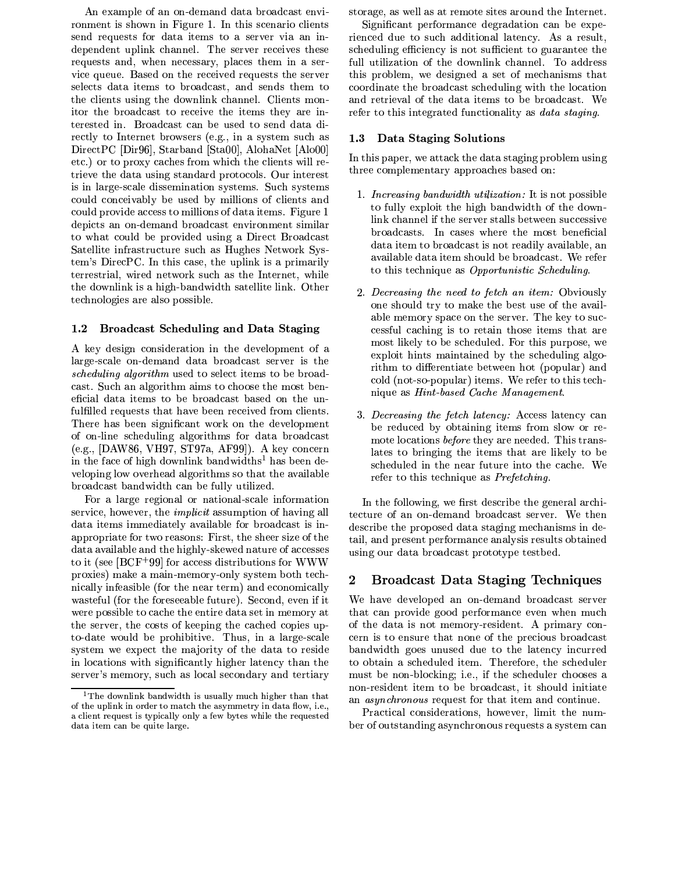An example of an on-demand data broadcast environment is shown in Figure 1. In this scenario clients send requests for data items to a server via an independent uplink channel. The server receives these requests and, when necessary, places them in a service queue. Based on the received requests the server selects data items to broadcast, and sends them to the clients using the downlink channel. Clients monitor the broadcast to receive the items they are interested in. Broadcast can be used to send data directly to Internet browsers (e.g., in a system such as DirectPC [Dir96], Starband [Sta00], AlohaNet [Alo00] etc.) or to proxy caches from which the clients will retrieve the data using standard protocols. Our interest is in large-scale dissemination systems. Such systems could conceivably be used by millions of clients and could provide access to millions of data items. Figure 1 depicts an on-demand broadcast environment similar to what could be provided using a Direct Broadcast Satellite infrastructure such as Hughes Network System's DirecPC. In this case, the uplink is a primarily terrestrial, wired network such as the Internet, while the downlink is a high-bandwidth satellite link. Other technologies are also possible.

#### **Broadcast Scheduling and Data Staging**  $1.2\,$

A key design consideration in the development of a large-scale on-demand data broadcast server is the *scheduling algorithm* used to select items to be broadcast. Such an algorithm aims to choose the most beneficial data items to be broadcast based on the unfulfilled requests that have been received from clients. There has been significant work on the development of on-line scheduling algorithms for data broadcast (e.g., [DAW86, VH97, ST97a, AF99]). A key concern in the face of high downlink bandwidths<sup>1</sup> has been developing low overhead algorithms so that the available broadcast bandwidth can be fully utilized.

For a large regional or national-scale information service, however, the *implicit* assumption of having all data items immediately available for broadcast is inappropriate for two reasons: First, the sheer size of the data available and the highly-skewed nature of accesses to it (see  $[BCF+99]$  for access distributions for WWW proxies) make a main-memory-only system both technically infeasible (for the near term) and economically wasteful (for the foreseeable future). Second, even if it were possible to cache the entire data set in memory at the server, the costs of keeping the cached copies upto-date would be prohibitive. Thus, in a large-scale system we expect the majority of the data to reside in locations with significantly higher latency than the server's memory, such as local secondary and tertiary

storage, as well as at remote sites around the Internet.

Significant performance degradation can be experienced due to such additional latency. As a result, scheduling efficiency is not sufficient to guarantee the full utilization of the downlink channel. To address this problem, we designed a set of mechanisms that coordinate the broadcast scheduling with the location and retrieval of the data items to be broadcast. We refer to this integrated functionality as *data staging*.

#### Data Staging Solutions  $1.3$

In this paper, we attack the data staging problem using three complementary approaches based on:

- 1. *Increasing bandwidth utilization*: It is not possible to fully exploit the high bandwidth of the downlink channel if the server stalls between successive broadcasts. In cases where the most beneficial data item to broadcast is not readily available, an available data item should be broadcast. We refer to this technique as *Opportunistic Scheduling*.
- 2. Decreasing the need to fetch an item: Obviously one should try to make the best use of the available memory space on the server. The key to successful caching is to retain those items that are most likely to be scheduled. For this purpose, we exploit hints maintained by the scheduling algorithm to differentiate between hot (popular) and cold (not-so-popular) items. We refer to this technique as *Hint-based Cache Management*.
- 3. Decreasing the fetch latency: Access latency can be reduced by obtaining items from slow or remote locations *before* they are needed. This translates to bringing the items that are likely to be scheduled in the near future into the cache. We refer to this technique as Prefetching.

In the following, we first describe the general architecture of an on-demand broadcast server. We then describe the proposed data staging mechanisms in detail, and present performance analysis results obtained using our data broadcast prototype testbed.

#### $\mathbf{2}$ **Broadcast Data Staging Techniques**

We have developed an on-demand broadcast server that can provide good performance even when much of the data is not memory-resident. A primary concern is to ensure that none of the precious broadcast bandwidth goes unused due to the latency incurred to obtain a scheduled item. Therefore, the scheduler must be non-blocking; i.e., if the scheduler chooses a non-resident item to be broadcast, it should initiate an *asynchronous* request for that item and continue.

Practical considerations, however, limit the number of outstanding asynchronous requests a system can

The downlink bandwidth is usually much higher than that of the uplink in order to match the asymmetry in data flow, i.e., a client request is typically only a few bytes while the requested data item can be quite large.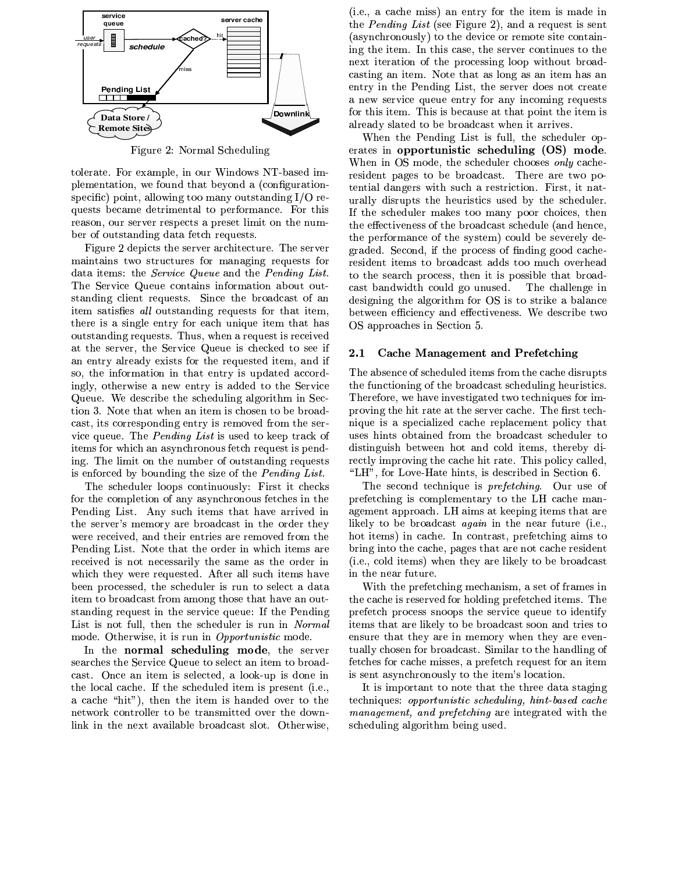

Figure 2: Normal Scheduling

tolerate. For example, in our Windows NT-based implementation, we found that beyond a (configurationspecific) point, allowing too many outstanding I/O requests became detrimental to performance. For this reason, our server respects a preset limit on the number of outstanding data fetch requests.

Figure 2 depicts the server architecture. The server maintains two structures for managing requests for data items: the Service Queue and the Pending List. The Service Queue contains information about outstanding client requests. Since the broadcast of an item satisfies all outstanding requests for that item, there is a single entry for each unique item that has outstanding requests. Thus, when a request is received at the server, the Service Queue is checked to see if an entry already exists for the requested item, and if so, the information in that entry is updated accordingly, otherwise a new entry is added to the Service Queue. We describe the scheduling algorithm in Section 3. Note that when an item is chosen to be broadcast, its corresponding entry is removed from the service queue. The *Pending List* is used to keep track of items for which an asynchronous fetch request is pending. The limit on the number of outstanding requests is enforced by bounding the size of the *Pending List*.

The scheduler loops continuously: First it checks for the completion of any asynchronous fetches in the Pending List. Any such items that have arrived in the server's memory are broadcast in the order they were received, and their entries are removed from the Pending List. Note that the order in which items are received is not necessarily the same as the order in which they were requested. After all such items have been processed, the scheduler is run to select a data item to broadcast from among those that have an outstanding request in the service queue: If the Pending List is not full, then the scheduler is run in Normal mode. Otherwise, it is run in *Opportunistic* mode.

In the normal scheduling mode, the server searches the Service Queue to select an item to broadcast. Once an item is selected, a look-up is done in the local cache. If the scheduled item is present (i.e., a cache "hit"), then the item is handed over to the network controller to be transmitted over the downlink in the next available broadcast slot. Otherwise,

(i.e., a cache miss) an entry for the item is made in the *Pending List* (see Figure 2), and a request is sent (asynchronously) to the device or remote site containing the item. In this case, the server continues to the next iteration of the processing loop without broadcasting an item. Note that as long as an item has an entry in the Pending List, the server does not create a new service queue entry for any incoming requests for this item. This is because at that point the item is already slated to be broadcast when it arrives.

When the Pending List is full, the scheduler operates in opportunistic scheduling (OS) mode. When in OS mode, the scheduler chooses only cacheresident pages to be broadcast. There are two potential dangers with such a restriction. First, it naturally disrupts the heuristics used by the scheduler. If the scheduler makes too many poor choices, then the effectiveness of the broadcast schedule (and hence, the performance of the system) could be severely degraded. Second, if the process of finding good cacheresident items to broadcast adds too much overhead to the search process, then it is possible that broadcast bandwidth could go unused. The challenge in designing the algorithm for OS is to strike a balance between efficiency and effectiveness. We describe two OS approaches in Section 5.

#### $2.1$ Cache Management and Prefetching

The absence of scheduled items from the cache disrupts the functioning of the broadcast scheduling heuristics. Therefore, we have investigated two techniques for improving the hit rate at the server cache. The first technique is a specialized cache replacement policy that uses hints obtained from the broadcast scheduler to distinguish between hot and cold items, thereby directly improving the cache hit rate. This policy called, "LH", for Love-Hate hints, is described in Section 6.

The second technique is *prefetching*. Our use of prefetching is complementary to the LH cache management approach. LH aims at keeping items that are likely to be broadcast *again* in the near future (i.e., hot items) in cache. In contrast, prefetching aims to bring into the cache, pages that are not cache resident (i.e., cold items) when they are likely to be broadcast in the near future.

With the prefetching mechanism, a set of frames in the cache is reserved for holding prefetched items. The prefetch process snoops the service queue to identify items that are likely to be broadcast soon and tries to ensure that they are in memory when they are eventually chosen for broadcast. Similar to the handling of fetches for cache misses, a prefetch request for an item is sent asynchronously to the item's location.

It is important to note that the three data staging techniques: opportunistic scheduling, hint-based cache *management, and prefetching* are integrated with the scheduling algorithm being used.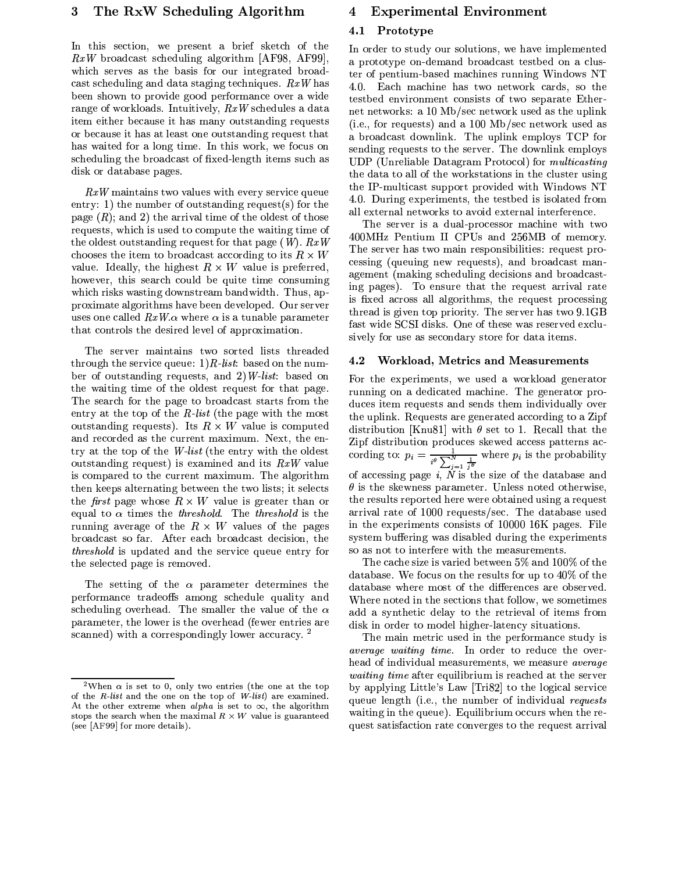## The RxW Scheduling Algorithm 3

In this section, we present a brief sketch of the  $RxW$  broadcast scheduling algorithm [AF98, AF99], which serves as the basis for our integrated broadcast scheduling and data staging techniques.  $RxW$  has been shown to provide good performance over a wide range of workloads. Intuitively,  $RxW$  schedules a data item either because it has many outstanding requests or because it has at least one outstanding request that has waited for a long time. In this work, we focus on scheduling the broadcast of fixed-length items such as disk or database pages.

 $RxW$  maintains two values with every service queue entry: 1) the number of outstanding request(s) for the page  $(R)$ ; and 2) the arrival time of the oldest of those requests, which is used to compute the waiting time of the oldest outstanding request for that page  $(W)$ .  $RxW$ chooses the item to broadcast according to its  $R \times W$ value. Ideally, the highest  $R \times W$  value is preferred, however, this search could be quite time consuming which risks wasting downstream bandwidth. Thus, approximate algorithms have been developed. Our server uses one called  $RxW.\alpha$  where  $\alpha$  is a tunable parameter that controls the desired level of approximation.

The server maintains two sorted lists threaded through the service queue:  $1)$  R-list: based on the number of outstanding requests, and 2) W-list: based on the waiting time of the oldest request for that page. The search for the page to broadcast starts from the entry at the top of the  $R$ -list (the page with the most outstanding requests). Its  $R \times W$  value is computed and recorded as the current maximum. Next, the entry at the top of the W-list (the entry with the oldest outstanding request) is examined and its  $RxW$  value is compared to the current maximum. The algorithm then keeps alternating between the two lists; it selects the *first* page whose  $R \times W$  value is greater than or equal to  $\alpha$  times the *threshold*. The *threshold* is the running average of the  $R \times W$  values of the pages broadcast so far. After each broadcast decision, the *threshold* is updated and the service queue entry for the selected page is removed.

The setting of the  $\alpha$  parameter determines the performance tradeoffs among schedule quality and scheduling overhead. The smaller the value of the  $\alpha$ parameter, the lower is the overhead (fewer entries are scanned) with a correspondingly lower accuracy.<sup>2</sup>

#### 4 **Experimental Environment**

#### $4.1$ Prototype

In order to study our solutions, we have implemented a prototype on-demand broadcast testbed on a cluster of pentium-based machines running Windows NT 4.0. Each machine has two network cards, so the testbed environment consists of two separate Ethernet networks: a 10 Mb/sec network used as the uplink (i.e., for requests) and a 100 Mb/sec network used as a broadcast downlink. The uplink employs TCP for sending requests to the server. The downlink employs UDP (Unreliable Datagram Protocol) for *multicasting* the data to all of the workstations in the cluster using the IP-multicast support provided with Windows NT 4.0. During experiments, the testbed is isolated from all external networks to avoid external interference.

The server is a dual-processor machine with two 400MHz Pentium II CPUs and 256MB of memory. The server has two main responsibilities: request processing (queuing new requests), and broadcast management (making scheduling decisions and broadcasting pages). To ensure that the request arrival rate is fixed across all algorithms, the request processing thread is given top priority. The server has two 9.1GB fast wide SCSI disks. One of these was reserved exclusively for use as secondary store for data items.

#### $4.2$ Workload, Metrics and Measurements

For the experiments, we used a workload generator running on a dedicated machine. The generator produces item requests and sends them individually over the uplink. Requests are generated according to a Zipf distribution [Knu81] with  $\theta$  set to 1. Recall that the Zipf distribution produces skewed access patterns according to:  $p_i = \frac{1}{i^{\theta} \sum_{j=1}^{N} \frac{1}{j^{\theta}}}$  where  $p_i$  is the probability of accessing page  $i$ , N is the size of the database and  $\theta$  is the skewness parameter. Unless noted otherwise, the results reported here were obtained using a request arrival rate of 1000 requests/sec. The database used in the experiments consists of 10000 16K pages. File system buffering was disabled during the experiments so as not to interfere with the measurements.

The cache size is varied between 5% and 100% of the database. We focus on the results for up to  $40\%$  of the database where most of the differences are observed. Where noted in the sections that follow, we sometimes add a synthetic delay to the retrieval of items from disk in order to model higher-latency situations.

The main metric used in the performance study is *average waiting time.* In order to reduce the overhead of individual measurements, we measure *average waiting time* after equilibrium is reached at the server by applying Little's Law [Tri82] to the logical service queue length (i.e., the number of individual requests waiting in the queue). Equilibrium occurs when the request satisfaction rate converges to the request arrival

<sup>&</sup>lt;sup>2</sup>When  $\alpha$  is set to 0, only two entries (the one at the top of the  $R$ -list and the one on the top of  $W$ -list) are examined. At the other extreme when alpha is set to  $\infty$ , the algorithm stops the search when the maximal  $R \times W$  value is guaranteed (see [AF99] for more details).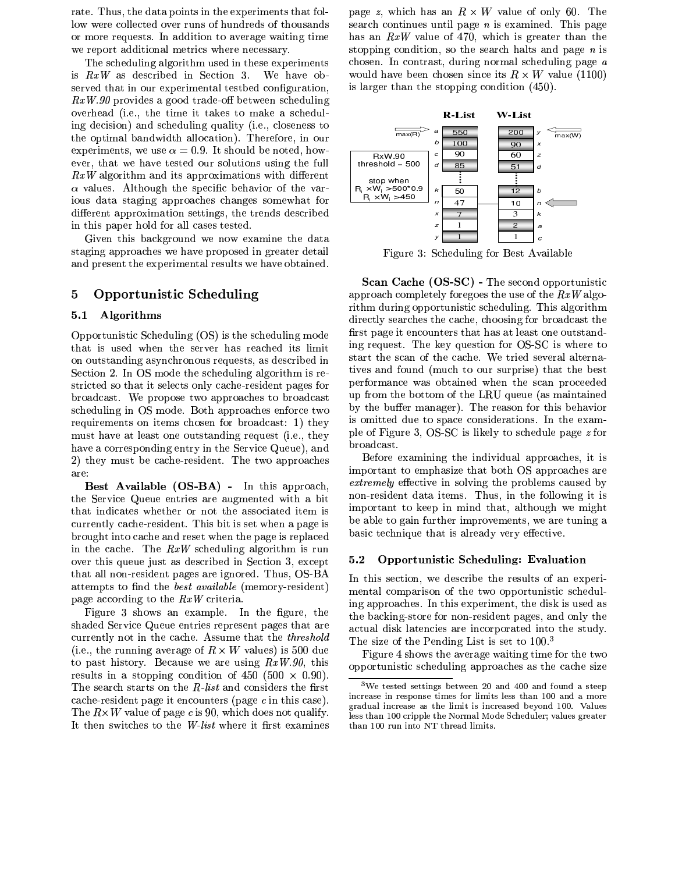rate. Thus, the data points in the experiments that follow were collected over runs of hundreds of thousands or more requests. In addition to average waiting time we report additional metrics where necessary.

The scheduling algorithm used in these experiments >UE¨ ®X¯ PBEc\A8ET\_CT>RzA8c >R< v\A8\_HT>RL0< <sup>Ó</sup> ` <sup>u</sup>AbPY?0ALBz:served that in our experimental testbed configuration,  $RxW.90$  provides a good trade-off between scheduling L]?BA8CGbA8PBc S>h` AB`@VHG:AHT>RA >RH&HFP[Z0A8EHTL PBZBA PET\_F:Adc\a:QR ing decision) and scheduling quality (i.e., closeness to the optimal bandwidth allocation). Therefore, in our experiments, we use  $\alpha=0.9$ . It should be noted, how-AD?0ADCdV HGbP[H\$yAbPY?0A£HTA8EwHGA8cLBabCEGLBQ@a\HT>RL0<bEabEw>@<:4HGbA¡MSabQRQ  $\blacksquare$ »?YPBQRabA8E8`µvQRHGbLBa:0 HG:A4EwA8\_D>I\_2zADbPY?>@LBC£LBMHG:AX?]P[CG ious data staging approaches changes somewhat for different approximation settings, the trends described in this paper hold for all cases tested.

 $\blacksquare$ staging approaches we have proposed in greater detail and present the experimental results we have obtained.

# 5 Opportunistic Scheduling

#### 5.1 Algorithms

Opportunistic Scheduling (OS) is the scheduling mode that is used when the server has reached its limit on outstanding asynchronous requests, as described in vAd\_HG>@LB< Í`~¥<Ä®v2Lc:A=HT:AET\_F:Adc\a:Q@>R<:P[Q@BL0CG>RHG: >UECGAD stricted so that it selects only cache-resident pages for z:CTL0P0c:\_DP0EKHd`\_u A2:CTLBL0EGAHKyL PB::CTL0P0\_F:A8EHTL z:CTL0PBcb\_DPBEwHscheduling in OS mode. Both approaches enforce two CTA8³.a:>@CGA8A8<.HTE\$L0< >IHTADE¡\_FbL0EGAD< MSLBC¡z:CGL.PBc:\_8PBEwH8²\_¨HT:ADJ must have at least one outstanding request (i.e., they have a corresponding entry in the Service Queue), and 2) they must be cache-resident. The two approaches are:

Best Available (OS-BA) - In this approach,  $\mathcal{L}=\mathcal{L}=\mathcal{L}=\mathcal{L}=\mathcal{L}=\mathcal{L}=\mathcal{L}=\mathcal{L}=\mathcal{L}=\mathcal{L}=\mathcal{L}=\mathcal{L}=\mathcal{L}=\mathcal{L}=\mathcal{L}=\mathcal{L}=\mathcal{L}=\mathcal{L}=\mathcal{L}=\mathcal{L}=\mathcal{L}=\mathcal{L}=\mathcal{L}=\mathcal{L}=\mathcal{L}=\mathcal{L}=\mathcal{L}=\mathcal{L}=\mathcal{L}=\mathcal{L}=\mathcal{L}=\mathcal{L}=\mathcal{L}=\mathcal{L}=\mathcal{L}=\mathcal{L}=\mathcal{$ that indicates whether or not the associated item is currently cache-resident. This bit is set when a page is brought into cache and reset when the page is replaced >@<HGbA4\_8PB\_F:A0`bA ®X¯ EG\_FbA8c\a:Q@>@<: PBQR0LBCT>IHT: >@ECTa:< L]?BA8CvHT:>@E³.a:ADabAi¿KabEwH\$PBEc\A8ET\_CT>RzA8c >R< vA8\_HG>@LB< <sup>Ó</sup> VAD´:\_AD:H that all non-resident pages are ignored. Thus, OS-BA attempts to find the *best available* (memory-resident) bPBBA\$PB\_8\_LBCFc\>@<:¡HGLHG:A¼®m¯ \_DCG>RHGA8CG>UP:`

oven the contract of the contract of the contract of the contract of the contract of the contract of the contract of the contract of the contract of the contract of the contract of the contract of the contract of the contr shaded Service Queue entries represent pages that are currently not in the cache. Assume that the threshold (i.e., the running average of  $R \times W$  values) is 500 due HGL bP0EKH:>UEKHTLBCTJB`xA8\_8P[abEGA&A,P[CTAXabEG>@<:®m¯û[üþý[VqHT:>@ECTA8EGa:QIHFE>R<P EwHGL0::>@<: \_LB<kc\>IHT>RL0<L[M«å=¬² ¬ ¬¦µ ¬b` T¬T` The search starts on the  $R$ -list and considers the first cache-resident page it encounters (page c in this case). :A]³ µh· ?YPBQRabAqL[M\bPBBAi§t>@E- ¬:Vd:>U\_Fc\LA8Et<:L[Hõ³.abPBQR>RMSJB` It then switches to the W-list where it first examines

been the state of the state of the state of the state of the state of the state of the state of the state of the state of the state of the state of the state of the state of the state of the state of the state of the state EGA8P[CF\_F \_L0<.HG>@<.abA8Evab<0HT>RQ~bPBBA2°X>@E(A´:PB>@<:AdcÂ`b>@E(bP[0AbPoer of a since the second and the second of the second second and the second second second second second second second second second second second second second second second second second second second second second sec  $F:Z\to T$  , and  $F:Z\to T$  , and  $F:Z\to T$  , and  $F:Z\to T$  $\mathbf{H}$ stopping condition, so the search halts and page  $n$  is is larger than the stopping condition  $(450)$ .



õ>@BabCGA <sup>Ó</sup> ²,v:\_F:A8c\abQR>@<:MSLBCvxA8EwH=µv?]PB>RQUP[z:Q@A

 $\mathbb{R}^n$  is a sequent . The least question for  $\Omega$   $\mathbb{R}^n$  is where to  $_{\text{start}}$  the seen of the speake. We tried several alterna- $\Gamma$ an from the bottom of the LDIL queue (as maintained  $\mathbf{Scan}$  Cache (OS-SC) - The second opportunistic approach completely foregoes the use of the  $RxW$  algorithm during opportunistic scheduling. This algorithm directly searches the cache, choosing for broadcast the first page it encounters that has at least one outstandtives and found (much to our surprise) that the best by the buffer manager). The reason for this behavior >UE(L0>IHGHGA8c c\a:AHTL4EGbPB\_DA\_DLB<bEG>Uc\ADCFP]HT>RL0<bED`¥<HG:AAD´\PB: A=C A A A A  $\sim$  C V  $\sim$  C V  $\sim$  C V  $\sim$  C  $\sim$ broadcast.

 $\mathbb{R}$  poor regident data items. Thus in the following it is  $\frac{R}{2}$  important to leap in mind that although we migh  $\mathcal{L}_{\mathcal{D}}$  $\frac{1}{2}$  $\bullet$  . The set of the set of the set of the set of the set of the set of the set of the set of the set of the set of the set of the set of the set of the set of the set of the set of the set of the set of the set of the s important to emphasize that both OS approaches are extremely effective in solving the problems caused by

#### $5.2$ Opportunistic Scheduling: Evaluation

In this section, we describe the results of an experimental comparison of the two opportunistic scheduling approaches. In this experiment, the disk is used as the backing-store for non-resident pages, and only the actual disk latencies are incorporated into the study. The size of the Pending List is set to  $100.^3$ 

Figure 4 shows the average waiting time for the two opportunistic scheduling approaches as the cache size

 $3$ We tested settings between 20 and 400 and found a steep ÆÈÖYàKËhÑwÍFÇuÑÆÈÖ£ËuÑKÇhÏ[ÊÖYÇhÑÐuÆÈôÑKÇ~Ø@ÊËOÚÈÆÈôÆ ÐuÇ~ÚÈÑKÇhÇOÐuÅ]ÍFÖXñwèèÍFÖYÒÍ=ôÊËhÑ æËÍFÒdÎ]ÍFÚÂÆÈÖYàKËhÑwÍFÇhÑ(ÍFÇyÐuÅYÑ=ÚÈÆÈôÆ ÐqÆÈÇÆÈÖYàKËuÑGÍFÇuÑKÒÓBÑÔÊÖYÒ,ñwèèdø¨ÍFÚÈÎYÑKÇ ÚÈÑKÇhÇ\ÐuÅ]ÍFÖñwèè~àKËhÆÈÏYÏdÚÈÑ ÐhÅYÑ6ätÊËhôvÍFÚd÷Ê8ÒYÑtåDàÅYÑKÒYÎYÚÈÑKË
©×FÍFÚÈÎYÑKÇkæËuÑGÍTÐuÑKË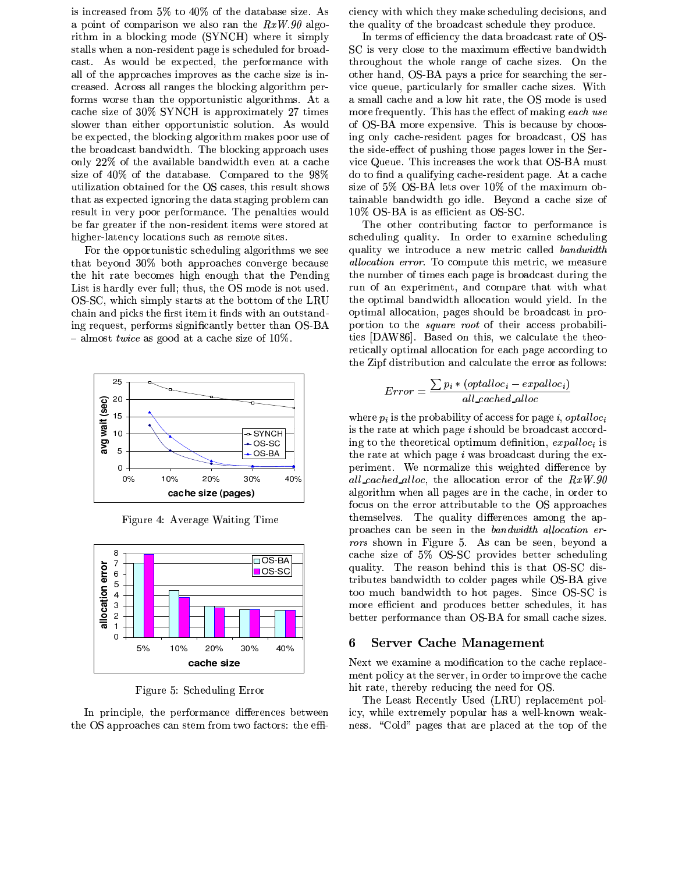is increased from 5% to 40% of the database size. As a point of comparison we also ran the  $RxW.90$  algorithm in a blocking mode (SYNCH) where it simply stalls when a non-resident page is scheduled for broadcast. As would be expected, the performance with all of the approaches improves as the cache size is increased. Across all ranges the blocking algorithm performs worse than the opportunistic algorithms. At a cache size of 30% SYNCH is approximately 27 times slower than either opportunistic solution. As would be expected, the blocking algorithm makes poor use of the broadcast bandwidth. The blocking approach uses only 22% of the available bandwidth even at a cache size of 40% of the database. Compared to the 98% utilization obtained for the OS cases, this result shows that as expected ignoring the data staging problem can result in very poor performance. The penalties would be far greater if the non-resident items were stored at higher-latency locations such as remote sites.

For the opportunistic scheduling algorithms we see that beyond 30% both approaches converge because the hit rate becomes high enough that the Pending List is hardly ever full; thus, the OS mode is not used. OS-SC, which simply starts at the bottom of the LRU chain and picks the first item it finds with an outstanding request, performs significantly better than OS-BA - almost *twice* as good at a cache size of  $10\%$ .



Figure 4: Average Waiting Time



Figure 5: Scheduling Error

In principle, the performance differences between the OS approaches can stem from two factors: the efficiency with which they make scheduling decisions, and the quality of the broadcast schedule they produce.

In terms of efficiency the data broadcast rate of OS-SC is very close to the maximum effective bandwidth throughout the whole range of cache sizes. On the other hand, OS-BA pays a price for searching the service queue, particularly for smaller cache sizes. With a small cache and a low hit rate, the OS mode is used more frequently. This has the effect of making each use of OS-BA more expensive. This is because by choosing only cache-resident pages for broadcast, OS has the side-effect of pushing those pages lower in the Service Queue. This increases the work that OS-BA must do to find a qualifying cache-resident page. At a cache size of 5% OS-BA lets over 10% of the maximum obtainable bandwidth go idle. Beyond a cache size of 10% OS-BA is as efficient as OS-SC.

The other contributing factor to performance is scheduling quality. In order to examine scheduling quality we introduce a new metric called bandwidth *allocation error.* To compute this metric, we measure the number of times each page is broadcast during the run of an experiment, and compare that with what the optimal bandwidth allocation would yield. In the optimal allocation, pages should be broadcast in proportion to the *square root* of their access probabilities [DAW86]. Based on this, we calculate the theoretically optimal allocation for each page according to the Zipf distribution and calculate the error as follows:

$$
Error = \frac{\sum p_i * (optalloc_i - explloc_i)}{all\_acched\_alloc}
$$

where  $p_i$  is the probability of access for page *i*, *optalloc<sub>i</sub>* is the rate at which page *i* should be broadcast according to the theoretical optimum definition,  $expalloc<sub>i</sub>$  is the rate at which page  $i$  was broadcast during the experiment. We normalize this weighted difference by all\_cached\_alloc, the allocation error of the  $RxW.90$ algorithm when all pages are in the cache, in order to focus on the error attributable to the OS approaches themselves. The quality differences among the approaches can be seen in the bandwidth allocation errors shown in Figure 5. As can be seen, beyond a cache size of 5% OS-SC provides better scheduling quality. The reason behind this is that OS-SC distributes bandwidth to colder pages while OS-BA give too much bandwidth to hot pages. Since OS-SC is more efficient and produces better schedules, it has better performance than OS-BA for small cache sizes.

#### **Server Cache Management** 6

Next we examine a modification to the cache replacement policy at the server, in order to improve the cache hit rate, thereby reducing the need for OS.

The Least Recently Used (LRU) replacement policy, while extremely popular has a well-known weakness. "Cold" pages that are placed at the top of the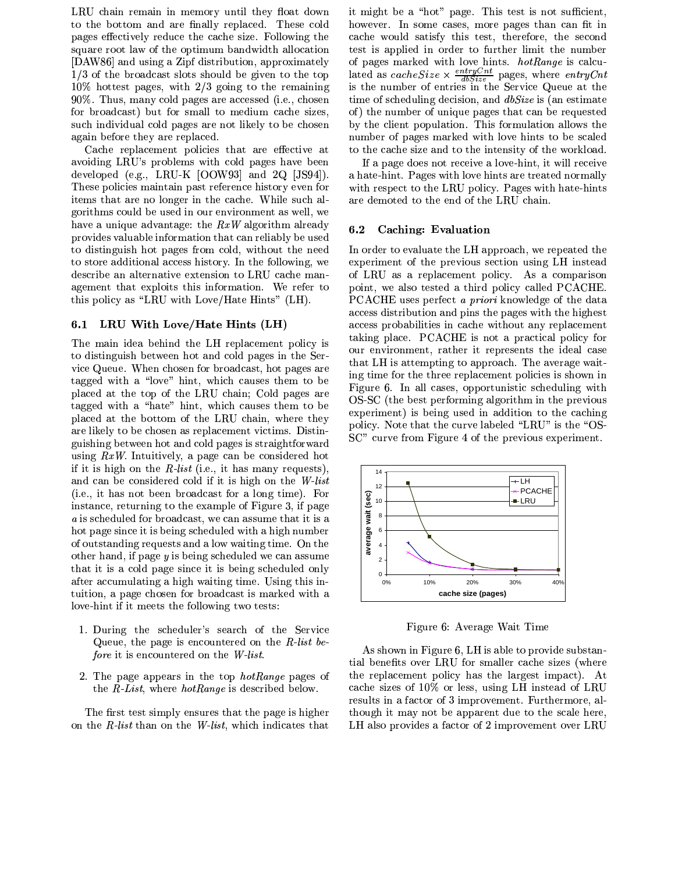LRU chain remain in memory until they float down to the bottom and are finally replaced. These cold pages effectively reduce the cache size. Following the square root law of the optimum bandwidth allocation [DAW86] and using a Zipf distribution, approximately  $1/3$  of the broadcast slots should be given to the top  $10\%$  hottest pages, with  $2/3$  going to the remaining 90%. Thus, many cold pages are accessed (i.e., chosen for broadcast) but for small to medium cache sizes, such individual cold pages are not likely to be chosen again before they are replaced.

Cache replacement policies that are effective at avoiding LRU's problems with cold pages have been developed (e.g., LRU-K  $[OOW93]$  and  $2Q$   $[JS94]$ ). These policies maintain past reference history even for items that are no longer in the cache. While such algorithms could be used in our environment as well, we have a unique advantage: the  $RxW$  algorithm already provides valuable information that can reliably be used to distinguish hot pages from cold, without the need to store additional access history. In the following, we describe an alternative extension to LRU cache management that exploits this information. We refer to this policy as "LRU with Love/Hate Hints" (LH).

#### $6.1$ LRU With Love/Hate Hints (LH)

The main idea behind the LH replacement policy is to distinguish between hot and cold pages in the Service Queue. When chosen for broadcast, hot pages are tagged with a "love" hint, which causes them to be placed at the top of the LRU chain; Cold pages are tagged with a "hate" hint, which causes them to be placed at the bottom of the LRU chain, where they are likely to be chosen as replacement victims. Distinguishing between hot and cold pages is straightforward using  $RxW$ . Intuitively, a page can be considered hot if it is high on the  $R$ -list (i.e., it has many requests), and can be considered cold if it is high on the W-list (i.e., it has not been broadcast for a long time). For instance, returning to the example of Figure 3, if page a is scheduled for broadcast, we can assume that it is a hot page since it is being scheduled with a high number of outstanding requests and a low waiting time. On the other hand, if page  $y$  is being scheduled we can assume that it is a cold page since it is being scheduled only after accumulating a high waiting time. Using this intuition, a page chosen for broadcast is marked with a love-hint if it meets the following two tests:

- 1. During the scheduler's search of the Service Queue, the page is encountered on the  $R$ -list before it is encountered on the W-list.
- 2. The page appears in the top *hotRange* pages of the  $R$ -List, where *hotRange* is described below.

The first test simply ensures that the page is higher on the R-list than on the W-list, which indicates that it might be a "hot" page. This test is not sufficient, however. In some cases, more pages than can fit in cache would satisfy this test, therefore, the second test is applied in order to further limit the number of pages marked with love hints.  $hotRange$  is calculated as *cacheSize*  $\times \frac{entryCat}{dbsize}$  pages, where *entryCnt* is the number of entries in the Service Queue at the time of scheduling decision, and *dbSize* is (an estimate of) the number of unique pages that can be requested by the client population. This formulation allows the number of pages marked with love hints to be scaled to the cache size and to the intensity of the workload.

If a page does not receive a love-hint, it will receive a hate-hint. Pages with love hints are treated normally with respect to the LRU policy. Pages with hate-hints are demoted to the end of the LRU chain.

#### $6.2$ Caching: Evaluation

In order to evaluate the LH approach, we repeated the experiment of the previous section using LH instead of LRU as a replacement policy. As a comparison point, we also tested a third policy called PCACHE. PCACHE uses perfect a priori knowledge of the data access distribution and pins the pages with the highest access probabilities in cache without any replacement taking place. PCACHE is not a practical policy for our environment, rather it represents the ideal case that LH is attempting to approach. The average waiting time for the three replacement policies is shown in Figure 6. In all cases, opportunistic scheduling with OS-SC (the best performing algorithm in the previous experiment) is being used in addition to the caching policy. Note that the curve labeled "LRU" is the "OS-SC" curve from Figure 4 of the previous experiment.



Figure 6: Average Wait Time

As shown in Figure 6, LH is able to provide substantial benefits over LRU for smaller cache sizes (where the replacement policy has the largest impact). At cache sizes of 10% or less, using LH instead of LRU results in a factor of 3 improvement. Furthermore, although it may not be apparent due to the scale here, LH also provides a factor of 2 improvement over LRU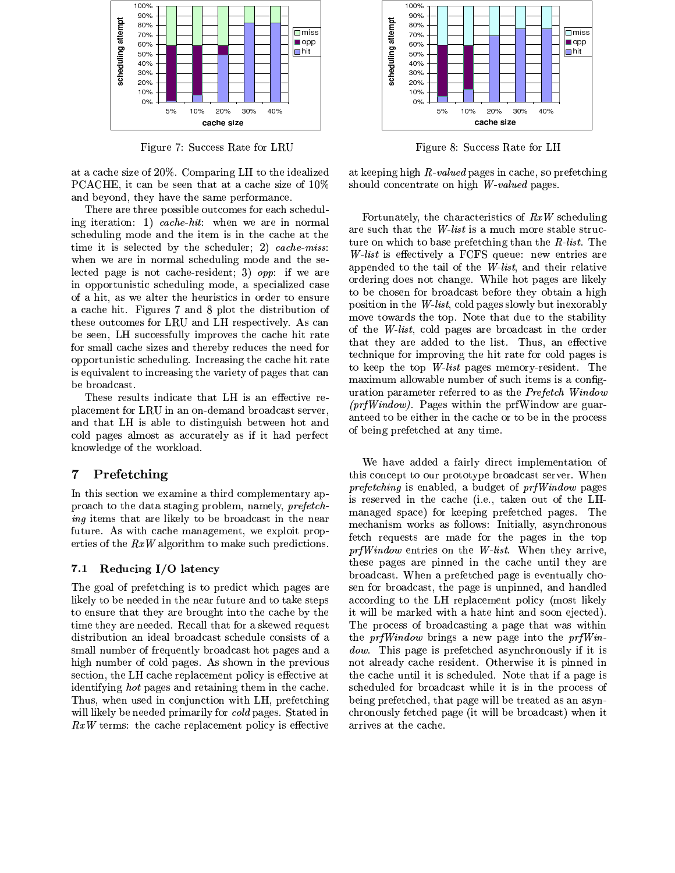

Figure 7: Success Rate for LRU

at a cache size of 20%. Comparing LH to the idealized PCACHE, it can be seen that at a cache size of 10% and beyond, they have the same performance.

There are three possible outcomes for each scheduling iteration: 1) cache-hit: when we are in normal scheduling mode and the item is in the cache at the time it is selected by the scheduler; 2) cache-miss: when we are in normal scheduling mode and the selected page is not cache-resident; 3)  $opp:$  if we are in opportunistic scheduling mode, a specialized case of a hit, as we alter the heuristics in order to ensure a cache hit. Figures 7 and 8 plot the distribution of these outcomes for LRU and LH respectively. As can be seen, LH successfully improves the cache hit rate for small cache sizes and thereby reduces the need for opportunistic scheduling. Increasing the cache hit rate is equivalent to increasing the variety of pages that can be broadcast.

These results indicate that LH is an effective replacement for LRU in an on-demand broadcast server. and that LH is able to distinguish between hot and cold pages almost as accurately as if it had perfect knowledge of the workload.

#### $\overline{7}$ Prefetching

In this section we examine a third complementary approach to the data staging problem, namely, *prefetching* items that are likely to be broadcast in the near future. As with cache management, we exploit properties of the  $RxW$  algorithm to make such predictions.

#### Reducing I/O latency  $7.1$

The goal of prefetching is to predict which pages are likely to be needed in the near future and to take steps to ensure that they are brought into the cache by the time they are needed. Recall that for a skewed request distribution an ideal broadcast schedule consists of a small number of frequently broadcast hot pages and a high number of cold pages. As shown in the previous section, the LH cache replacement policy is effective at identifying *hot* pages and retaining them in the cache. Thus, when used in conjunction with LH, prefetching will likely be needed primarily for *cold* pages. Stated in  $RxW$  terms: the cache replacement policy is effective



Figure 8: Success Rate for LH

at keeping high  $R$ -valued pages in cache, so prefetching should concentrate on high W-valued pages.

Fortunately, the characteristics of  $RxW$  scheduling are such that the *W-list* is a much more stable structure on which to base prefer thing than the  $R$ -list. The W-list is effectively a FCFS queue: new entries are appended to the tail of the *W-list*, and their relative ordering does not change. While hot pages are likely to be chosen for broadcast before they obtain a high position in the *W-list*, cold pages slowly but inexorably move towards the top. Note that due to the stability of the  $W$ -list, cold pages are broadcast in the order that they are added to the list. Thus, an effective technique for improving the hit rate for cold pages is to keep the top  $W$ -list pages memory-resident. The maximum allowable number of such items is a configuration parameter referred to as the Prefetch Window  $(prfWindow)$ . Pages within the prfWindow are guaranteed to be either in the cache or to be in the process of being prefetched at any time.

We have added a fairly direct implementation of this concept to our prototype broadcast server. When *prefetching* is enabled, a budget of *prfWindow* pages is reserved in the cache (i.e., taken out of the LHmanaged space) for keeping prefetched pages. The mechanism works as follows: Initially, asynchronous fetch requests are made for the pages in the top *prfWindow* entries on the *W-list*. When they arrive. these pages are pinned in the cache until they are broadcast. When a prefetched page is eventually chosen for broadcast, the page is unpinned, and handled according to the LH replacement policy (most likely it will be marked with a hate hint and soon ejected). The process of broadcasting a page that was within the *prfWindow* brings a new page into the *prfWindow.* This page is prefetched asynchronously if it is not already cache resident. Otherwise it is pinned in the cache until it is scheduled. Note that if a page is scheduled for broadcast while it is in the process of being prefetched, that page will be treated as an asynchronously fetched page (it will be broadcast) when it arrives at the cache.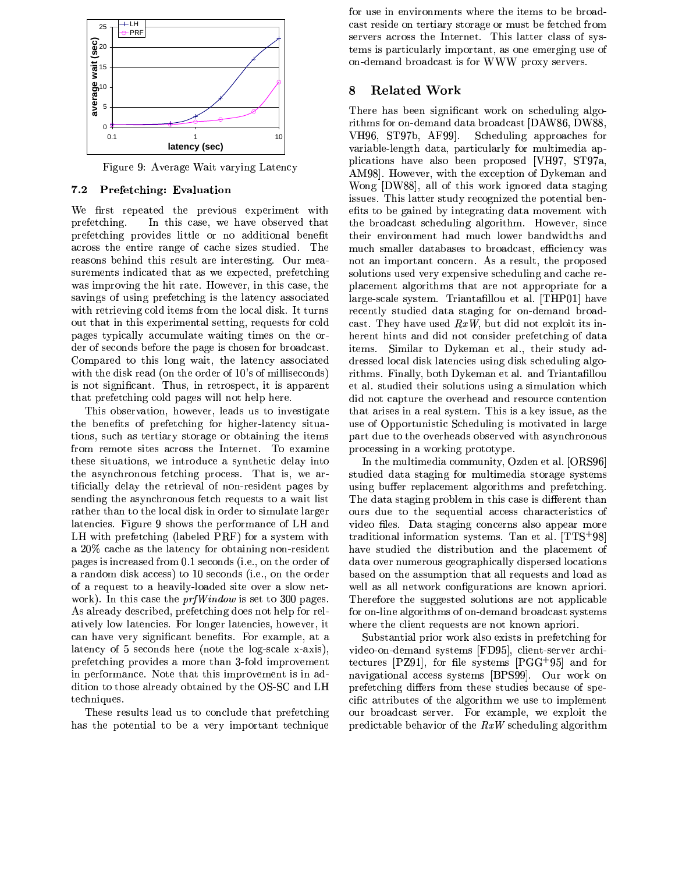

Figure 9: Average Wait varying Latency

# 7.2 Prefetching: Evaluation

We first repeated the previous experiment with In this case, we have observed that prefetching. prefetching provides little or no additional benefit across the entire range of cache sizes studied. The reasons behind this result are interesting. Our measurements indicated that as we expected, prefetching was improving the hit rate. However, in this case, the savings of using prefetching is the latency associated with retrieving cold items from the local disk. It turns out that in this experimental setting, requests for cold pages typically accumulate waiting times on the order of seconds before the page is chosen for broadcast. Compared to this long wait, the latency associated with the disk read (on the order of 10's of milliseconds) is not significant. Thus, in retrospect, it is apparent that prefetching cold pages will not help here.

This observation, however, leads us to investigate the benefits of prefetching for higher-latency situations, such as tertiary storage or obtaining the items from remote sites across the Internet. To examine these situations, we introduce a synthetic delay into the asynchronous fetching process. That is, we artificially delay the retrieval of non-resident pages by sending the asynchronous fetch requests to a wait list rather than to the local disk in order to simulate larger latencies. Figure 9 shows the performance of LH and LH with prefetching (labeled PRF) for a system with a 20% cache as the latency for obtaining non-resident pages is increased from 0.1 seconds (i.e., on the order of a random disk access) to 10 seconds (i.e., on the order of a request to a heavily-loaded site over a slow network). In this case the  $prfWindow$  is set to 300 pages. As already described, prefetching does not help for relatively low latencies. For longer latencies, however, it can have very significant benefits. For example, at a latency of 5 seconds here (note the log-scale  $x$ -axis), prefetching provides a more than 3-fold improvement in performance. Note that this improvement is in addition to those already obtained by the OS-SC and LH techniques.

These results lead us to conclude that prefetching has the potential to be a very important technique for use in environments where the items to be broadcast reside on tertiary storage or must be fetched from servers across the Internet. This latter class of systems is particularly important, as one emerging use of on-demand broadcast is for WWW proxy servers.

### 8 **Related Work**

There has been significant work on scheduling algorithms for on-demand data broadcast [DAW86, DW88, VH96, ST97b, AF99. Scheduling approaches for variable-length data, particularly for multimedia applications have also been proposed [VH97, ST97a, AM98. However, with the exception of Dykeman and Wong [DW88], all of this work ignored data staging issues. This latter study recognized the potential benefits to be gained by integrating data movement with the broadcast scheduling algorithm. However, since their environment had much lower bandwidths and much smaller databases to broadcast, efficiency was not an important concern. As a result, the proposed solutions used very expensive scheduling and cache replacement algorithms that are not appropriate for a large-scale system. Triantafillou et al. [THP01] have recently studied data staging for on-demand broadcast. They have used  $RxW$ , but did not exploit its inherent hints and did not consider prefetching of data items. Similar to Dykeman et al., their study addressed local disk latencies using disk scheduling algorithms. Finally, both Dykeman et al. and Triantafillou et al. studied their solutions using a simulation which did not capture the overhead and resource contention that arises in a real system. This is a key issue, as the use of Opportunistic Scheduling is motivated in large part due to the overheads observed with asynchronous processing in a working prototype.

In the multimedia community, Ozden et al. [ORS96] studied data staging for multimedia storage systems using buffer replacement algorithms and prefetching. The data staging problem in this case is different than ours due to the sequential access characteristics of video files. Data staging concerns also appear more traditional information systems. Tan et al.  $[TTS^{+}98]$ have studied the distribution and the placement of data over numerous geographically dispersed locations based on the assumption that all requests and load as well as all network configurations are known apriori. Therefore the suggested solutions are not applicable for on-line algorithms of on-demand broadcast systems where the client requests are not known apriori.

Substantial prior work also exists in prefetching for video-on-demand systems [FD95], client-server architectures  $[PZ91]$ , for file systems  $[PGG<sup>+</sup>95]$  and for navigational access systems [BPS99]. Our work on prefetching differs from these studies because of specific attributes of the algorithm we use to implement our broadcast server. For example, we exploit the predictable behavior of the  $RxW$  scheduling algorithm